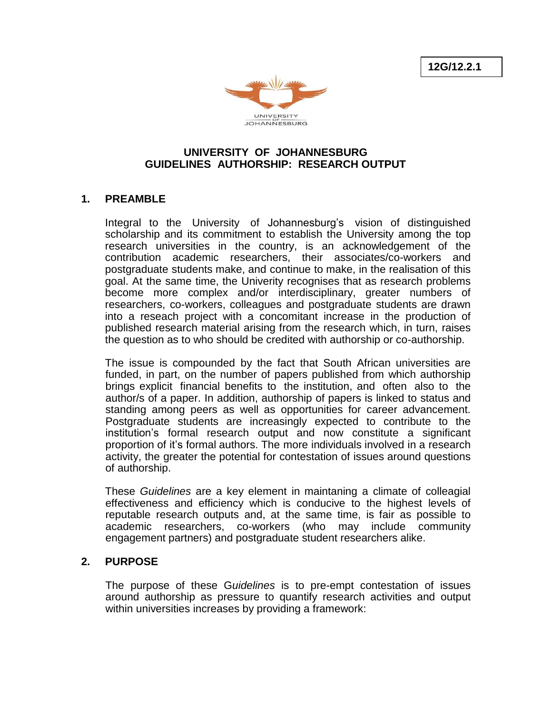**12G/12.2.1**



### **UNIVERSITY OF JOHANNESBURG GUIDELINES AUTHORSHIP: RESEARCH OUTPUT**

### **1. PREAMBLE**

Integral to the University of Johannesburg's vision of distinguished scholarship and its commitment to establish the University among the top research universities in the country, is an acknowledgement of the contribution academic researchers, their associates/co-workers and postgraduate students make, and continue to make, in the realisation of this goal. At the same time, the Univerity recognises that as research problems become more complex and/or interdisciplinary, greater numbers of researchers, co-workers, colleagues and postgraduate students are drawn into a reseach project with a concomitant increase in the production of published research material arising from the research which, in turn, raises the question as to who should be credited with authorship or co-authorship.

The issue is compounded by the fact that South African universities are funded, in part, on the number of papers published from which authorship brings explicit financial benefits to the institution, and often also to the author/s of a paper. In addition, authorship of papers is linked to status and standing among peers as well as opportunities for career advancement. Postgraduate students are increasingly expected to contribute to the institution's formal research output and now constitute a significant proportion of it's formal authors. The more individuals involved in a research activity, the greater the potential for contestation of issues around questions of authorship.

These *Guidelines* are a key element in maintaning a climate of colleagial effectiveness and efficiency which is conducive to the highest levels of reputable research outputs and, at the same time, is fair as possible to academic researchers, co-workers (who may include community engagement partners) and postgraduate student researchers alike.

#### **2. PURPOSE**

The purpose of these G*uidelines* is to pre-empt contestation of issues around authorship as pressure to quantify research activities and output within universities increases by providing a framework: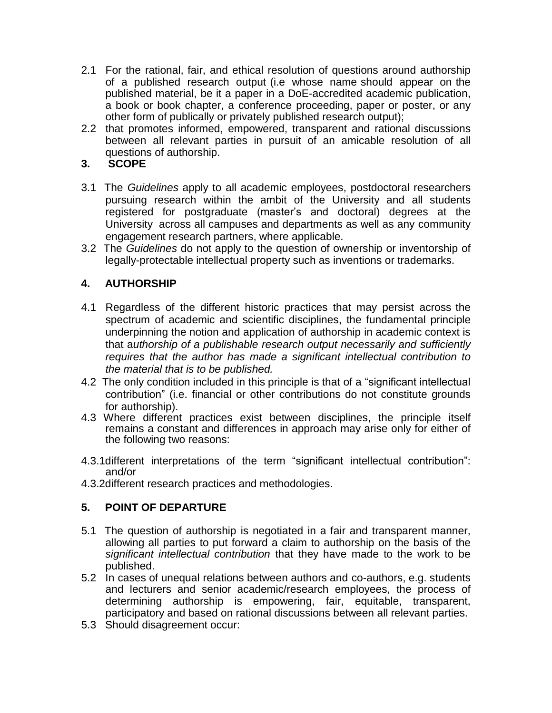- 2.1 For the rational, fair, and ethical resolution of questions around authorship of a published research output (i.e whose name should appear on the published material, be it a paper in a DoE-accredited academic publication, a book or book chapter, a conference proceeding, paper or poster, or any other form of publically or privately published research output);
- 2.2 that promotes informed, empowered, transparent and rational discussions between all relevant parties in pursuit of an amicable resolution of all questions of authorship.

## **3. SCOPE**

- 3.1 The *Guidelines* apply to all academic employees, postdoctoral researchers pursuing research within the ambit of the University and all students registered for postgraduate (master's and doctoral) degrees at the University across all campuses and departments as well as any community engagement research partners, where applicable.
- 3.2 The *Guidelines* do not apply to the question of ownership or inventorship of legally-protectable intellectual property such as inventions or trademarks.

## **4. AUTHORSHIP**

- 4.1 Regardless of the different historic practices that may persist across the spectrum of academic and scientific disciplines, the fundamental principle underpinning the notion and application of authorship in academic context is that a*uthorship of a publishable research output necessarily and sufficiently requires that the author has made a significant intellectual contribution to the material that is to be published.*
- 4.2 The only condition included in this principle is that of a "significant intellectual contribution" (i.e. financial or other contributions do not constitute grounds for authorship).
- 4.3 Where different practices exist between disciplines, the principle itself remains a constant and differences in approach may arise only for either of the following two reasons:
- 4.3.1different interpretations of the term "significant intellectual contribution": and/or
- 4.3.2different research practices and methodologies.

# **5. POINT OF DEPARTURE**

- 5.1 The question of authorship is negotiated in a fair and transparent manner, allowing all parties to put forward a claim to authorship on the basis of the *significant intellectual contribution* that they have made to the work to be published.
- 5.2 In cases of unequal relations between authors and co-authors, e.g. students and lecturers and senior academic/research employees, the process of determining authorship is empowering, fair, equitable, transparent, participatory and based on rational discussions between all relevant parties.
- 5.3 Should disagreement occur: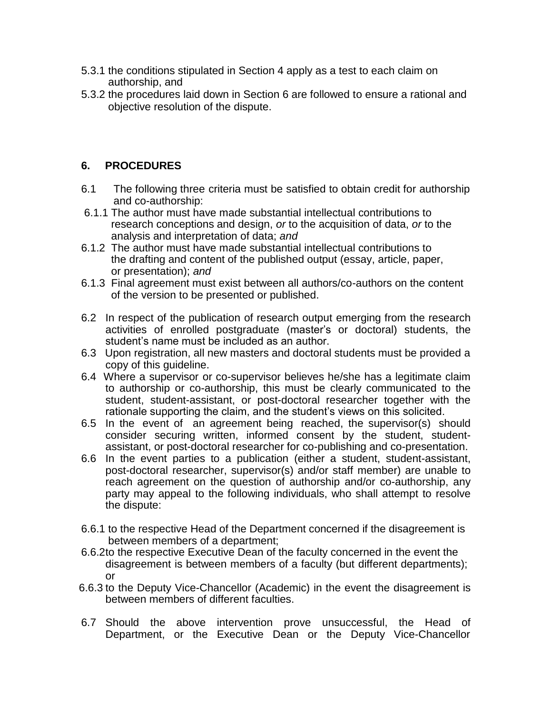- 5.3.1 the conditions stipulated in Section 4 apply as a test to each claim on authorship, and
- 5.3.2 the procedures laid down in Section 6 are followed to ensure a rational and objective resolution of the dispute.

## **6. PROCEDURES**

- 6.1 The following three criteria must be satisfied to obtain credit for authorship and co-authorship:
- 6.1.1 The author must have made substantial intellectual contributions to research conceptions and design, *or* to the acquisition of data, *or* to the analysis and interpretation of data; *and*
- 6.1.2 The author must have made substantial intellectual contributions to the drafting and content of the published output (essay, article, paper, or presentation); *and*
- 6.1.3 Final agreement must exist between all authors/co-authors on the content of the version to be presented or published.
- 6.2 In respect of the publication of research output emerging from the research activities of enrolled postgraduate (master's or doctoral) students, the student's name must be included as an author.
- 6.3 Upon registration, all new masters and doctoral students must be provided a copy of this guideline.
- 6.4 Where a supervisor or co-supervisor believes he/she has a legitimate claim to authorship or co-authorship, this must be clearly communicated to the student, student-assistant, or post-doctoral researcher together with the rationale supporting the claim, and the student's views on this solicited.
- 6.5 In the event of an agreement being reached, the supervisor(s) should consider securing written, informed consent by the student, studentassistant, or post-doctoral researcher for co-publishing and co-presentation.
- 6.6 In the event parties to a publication (either a student, student-assistant, post-doctoral researcher, supervisor(s) and/or staff member) are unable to reach agreement on the question of authorship and/or co-authorship, any party may appeal to the following individuals, who shall attempt to resolve the dispute:
- 6.6.1 to the respective Head of the Department concerned if the disagreement is between members of a department;
- 6.6.2to the respective Executive Dean of the faculty concerned in the event the disagreement is between members of a faculty (but different departments); or
- 6.6.3 to the Deputy Vice-Chancellor (Academic) in the event the disagreement is between members of different faculties.
- 6.7 Should the above intervention prove unsuccessful, the Head of Department, or the Executive Dean or the Deputy Vice-Chancellor